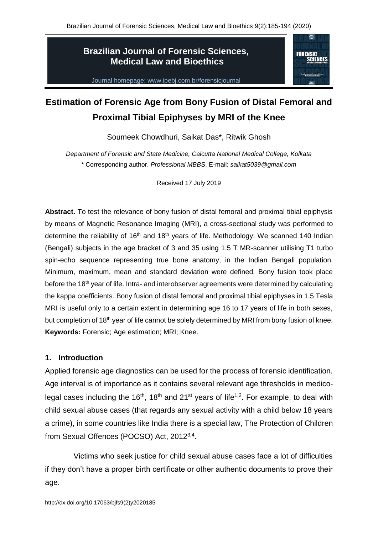## **Brazilian Journal of Forensic Sciences, Medical Law and Bioethics**

Journal homepage: www.ipebj.com.br/forensicjournal



# **Estimation of Forensic Age from Bony Fusion of Distal Femoral and Proximal Tibial Epiphyses by MRI of the Knee**

Soumeek Chowdhuri, Saikat Das\*, Ritwik Ghosh

*Department of Forensic and State Medicine, Calcutta National Medical College, Kolkata* \* Corresponding author. *Professional MBBS*. E-mail: *[saikat5039@gmail.com](mailto:saikat5039@gmail.com)*

Received 17 July 2019

**Abstract.** To test the relevance of bony fusion of distal femoral and proximal tibial epiphysis by means of Magnetic Resonance Imaging (MRI), a cross-sectional study was performed to determine the reliability of  $16<sup>th</sup>$  and  $18<sup>th</sup>$  years of life. Methodology: We scanned 140 Indian (Bengali) subjects in the age bracket of 3 and 35 using 1.5 T MR-scanner utilising T1 turbo spin-echo sequence representing true bone anatomy, in the Indian Bengali population. Minimum, maximum, mean and standard deviation were defined. Bony fusion took place before the 18<sup>th</sup> year of life. Intra- and interobserver agreements were determined by calculating the kappa coefficients. Bony fusion of distal femoral and proximal tibial epiphyses in 1.5 Tesla MRI is useful only to a certain extent in determining age 16 to 17 years of life in both sexes, but completion of 18<sup>th</sup> year of life cannot be solely determined by MRI from bony fusion of knee. **Keywords:** Forensic; Age estimation; MRI; Knee.

## **1. Introduction**

Applied forensic age diagnostics can be used for the process of forensic identification. Age interval is of importance as it contains several relevant age thresholds in medicolegal cases including the 16<sup>th</sup>, 18<sup>th</sup> and 21<sup>st</sup> years of life<sup>1,2</sup>. For example, to deal with child sexual abuse cases (that regards any sexual activity with a child below 18 years a crime), in some countries like India there is a special law, The Protection of Children from Sexual Offences (POCSO) Act, 2012<sup>3,4</sup>.

Victims who seek justice for child sexual abuse cases face a lot of difficulties if they don't have a proper birth certificate or other authentic documents to prove their age.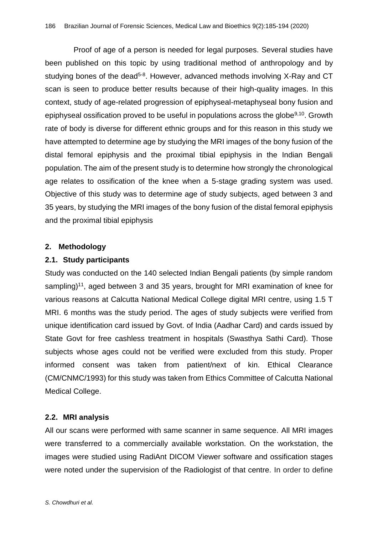Proof of age of a person is needed for legal purposes. Several studies have been published on this topic by using traditional method of anthropology and by studying bones of the dead<sup>5-8</sup>. However, advanced methods involving X-Ray and CT scan is seen to produce better results because of their high-quality images. In this context, study of age-related progression of epiphyseal-metaphyseal bony fusion and epiphyseal ossification proved to be useful in populations across the globe<sup>9,10</sup>. Growth rate of body is diverse for different ethnic groups and for this reason in this study we have attempted to determine age by studying the MRI images of the bony fusion of the distal femoral epiphysis and the proximal tibial epiphysis in the Indian Bengali population. The aim of the present study is to determine how strongly the chronological age relates to ossification of the knee when a 5-stage grading system was used. Objective of this study was to determine age of study subjects, aged between 3 and 35 years, by studying the MRI images of the bony fusion of the distal femoral epiphysis and the proximal tibial epiphysis

## **2. Methodology**

## **2.1. Study participants**

Study was conducted on the 140 selected Indian Bengali patients (by simple random sampling)<sup>11</sup>, aged between 3 and 35 years, brought for MRI examination of knee for various reasons at Calcutta National Medical College digital MRI centre, using 1.5 T MRI. 6 months was the study period. The ages of study subjects were verified from unique identification card issued by Govt. of India (Aadhar Card) and cards issued by State Govt for free cashless treatment in hospitals (Swasthya Sathi Card). Those subjects whose ages could not be verified were excluded from this study. Proper informed consent was taken from patient/next of kin. Ethical Clearance (CM/CNMC/1993) for this study was taken from Ethics Committee of Calcutta National Medical College.

## **2.2. MRI analysis**

All our scans were performed with same scanner in same sequence. All MRI images were transferred to a commercially available workstation. On the workstation, the images were studied using [RadiAnt DICOM Viewer s](https://www.radiantviewer.com/)oftware and ossification stages were noted under the supervision of the Radiologist of that centre. In order to define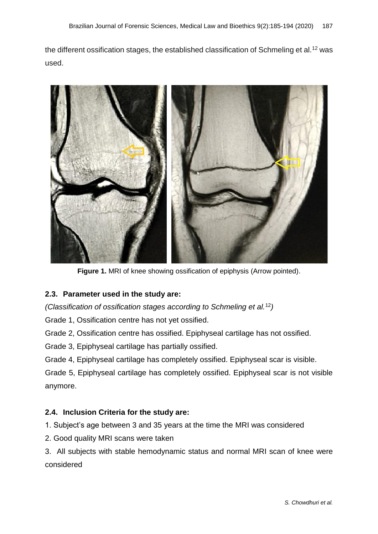the different ossification stages, the established classification of Schmeling et al.<sup>12</sup> was used.



**Figure 1.** MRI of knee showing ossification of epiphysis (Arrow pointed).

## **2.3. Parameter used in the study are:**

*(Classification of ossification stages according to Schmeling et al.*<sup>12</sup>*)*

Grade 1, Ossification centre has not yet ossified.

Grade 2, Ossification centre has ossified. Epiphyseal cartilage has not ossified.

Grade 3, Epiphyseal cartilage has partially ossified.

Grade 4, Epiphyseal cartilage has completely ossified. Epiphyseal scar is visible.

Grade 5, Epiphyseal cartilage has completely ossified. Epiphyseal scar is not visible anymore.

## **2.4. Inclusion Criteria for the study are:**

1. Subject's age between 3 and 35 years at the time the MRI was considered

2. Good quality MRI scans were taken

3. All subjects with stable hemodynamic status and normal MRI scan of knee were considered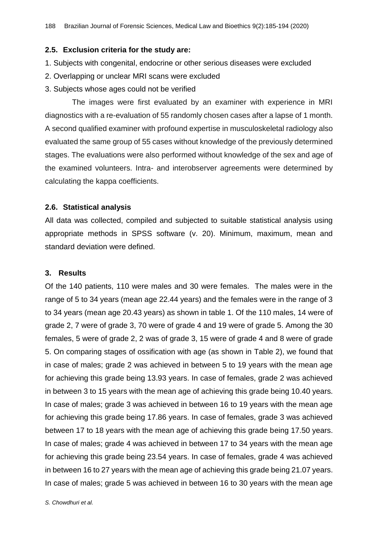#### **2.5. Exclusion criteria for the study are:**

- 1. Subjects with congenital, endocrine or other serious diseases were excluded
- 2. Overlapping or unclear MRI scans were excluded
- 3. Subjects whose ages could not be verified

The images were first evaluated by an examiner with experience in MRI diagnostics with a re-evaluation of 55 randomly chosen cases after a lapse of 1 month. A second qualified examiner with profound expertise in musculoskeletal radiology also evaluated the same group of 55 cases without knowledge of the previously determined stages. The evaluations were also performed without knowledge of the sex and age of the examined volunteers. Intra- and interobserver agreements were determined by calculating the kappa coefficients.

#### **2.6. Statistical analysis**

All data was collected, compiled and subjected to suitable statistical analysis using appropriate methods in SPSS software (v. 20). Minimum, maximum, mean and standard deviation were defined.

#### **3. Results**

Of the 140 patients, 110 were males and 30 were females. The males were in the range of 5 to 34 years (mean age 22.44 years) and the females were in the range of 3 to 34 years (mean age 20.43 years) as shown in table 1. Of the 110 males, 14 were of grade 2, 7 were of grade 3, 70 were of grade 4 and 19 were of grade 5. Among the 30 females, 5 were of grade 2, 2 was of grade 3, 15 were of grade 4 and 8 were of grade 5. On comparing stages of ossification with age (as shown in Table 2), we found that in case of males; grade 2 was achieved in between 5 to 19 years with the mean age for achieving this grade being 13.93 years. In case of females, grade 2 was achieved in between 3 to 15 years with the mean age of achieving this grade being 10.40 years. In case of males; grade 3 was achieved in between 16 to 19 years with the mean age for achieving this grade being 17.86 years. In case of females, grade 3 was achieved between 17 to 18 years with the mean age of achieving this grade being 17.50 years. In case of males; grade 4 was achieved in between 17 to 34 years with the mean age for achieving this grade being 23.54 years. In case of females, grade 4 was achieved in between 16 to 27 years with the mean age of achieving this grade being 21.07 years. In case of males; grade 5 was achieved in between 16 to 30 years with the mean age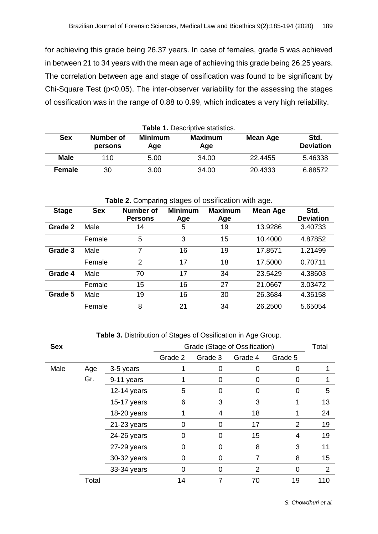for achieving this grade being 26.37 years. In case of females, grade 5 was achieved in between 21 to 34 years with the mean age of achieving this grade being 26.25 years. The correlation between age and stage of ossification was found to be significant by Chi-Square Test (p<0.05). The inter-observer variability for the assessing the stages of ossification was in the range of 0.88 to 0.99, which indicates a very high reliability.

| Table 1. Descriptive statistics. |                      |                       |                       |                 |                          |  |  |  |
|----------------------------------|----------------------|-----------------------|-----------------------|-----------------|--------------------------|--|--|--|
| <b>Sex</b>                       | Number of<br>persons | <b>Minimum</b><br>Age | <b>Maximum</b><br>Age | <b>Mean Age</b> | Std.<br><b>Deviation</b> |  |  |  |
| <b>Male</b>                      | 110                  | 5.00                  | 34.00                 | 22.4455         | 5.46338                  |  |  |  |
| <b>Female</b>                    | 30                   | 3.00                  | 34.00                 | 20.4333         | 6.88572                  |  |  |  |

| <b>Table 2.</b> Companing stages or ossinuation with age. |            |                                    |                       |                       |                 |                          |  |  |
|-----------------------------------------------------------|------------|------------------------------------|-----------------------|-----------------------|-----------------|--------------------------|--|--|
| <b>Stage</b>                                              | <b>Sex</b> | <b>Number of</b><br><b>Persons</b> | <b>Minimum</b><br>Age | <b>Maximum</b><br>Age | <b>Mean Age</b> | Std.<br><b>Deviation</b> |  |  |
| Grade 2                                                   | Male       | 14                                 | 5                     | 19                    | 13.9286         | 3.40733                  |  |  |
|                                                           | Female     | 5                                  | 3                     | 15                    | 10.4000         | 4.87852                  |  |  |
| Grade 3                                                   | Male       | 7                                  | 16                    | 19                    | 17.8571         | 1.21499                  |  |  |
|                                                           | Female     | 2                                  | 17                    | 18                    | 17.5000         | 0.70711                  |  |  |
| Grade 4                                                   | Male       | 70                                 | 17                    | 34                    | 23.5429         | 4.38603                  |  |  |
|                                                           | Female     | 15                                 | 16                    | 27                    | 21.0667         | 3.03472                  |  |  |
| Grade 5                                                   | Male       | 19                                 | 16                    | 30                    | 26.3684         | 4.36158                  |  |  |
|                                                           | Female     | 8                                  | 21                    | 34                    | 26.2500         | 5.65054                  |  |  |

#### **Table 2.** Comparing stages of ossification with age.

**Table 3.** Distribution of Stages of Ossification in Age Group.

| <b>Sex</b> |       |             | Grade (Stage of Ossification) | Total   |                |                |                |
|------------|-------|-------------|-------------------------------|---------|----------------|----------------|----------------|
|            |       |             | Grade 2                       | Grade 3 | Grade 4        | Grade 5        |                |
| Male       | Age   | 3-5 years   |                               | 0       | 0              | O              |                |
|            | Gr.   | 9-11 years  |                               | 0       | 0              | 0              |                |
|            |       | 12-14 years | 5                             | 0       | 0              | 0              | 5              |
|            |       | 15-17 years | 6                             | 3       | 3              |                | 13             |
|            |       | 18-20 years |                               | 4       | 18             |                | 24             |
|            |       | 21-23 years | $\Omega$                      | 0       | 17             | $\overline{2}$ | 19             |
|            |       | 24-26 years | 0                             | 0       | 15             | 4              | 19             |
|            |       | 27-29 years | 0                             | 0       | 8              | 3              | 11             |
|            |       | 30-32 years | 0                             | 0       | 7              | 8              | 15             |
|            |       | 33-34 years | 0                             | 0       | $\overline{2}$ | 0              | $\overline{2}$ |
|            | Total |             | 14                            |         | 70             | 19             | 110            |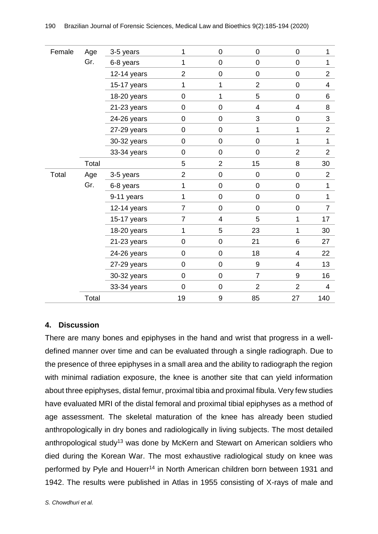| Female | Age   | 3-5 years   | 1              | $\mathbf 0$             | $\mathbf 0$      | $\mathbf 0$              | $\mathbf{1}$   |
|--------|-------|-------------|----------------|-------------------------|------------------|--------------------------|----------------|
|        | Gr.   | 6-8 years   | 1              | $\boldsymbol{0}$        | $\mathbf 0$      | $\pmb{0}$                | 1              |
|        |       | 12-14 years | $\overline{2}$ | $\pmb{0}$               | $\boldsymbol{0}$ | $\mathbf 0$              | $\overline{2}$ |
|        |       | 15-17 years | 1              | 1                       | $\overline{2}$   | $\pmb{0}$                | $\overline{4}$ |
|        |       | 18-20 years | 0              | 1                       | 5                | $\mathbf 0$              | 6              |
|        |       | 21-23 years | 0              | $\pmb{0}$               | $\overline{4}$   | 4                        | 8              |
|        |       | 24-26 years | 0              | $\mathbf 0$             | 3                | $\mathbf 0$              | 3              |
|        |       | 27-29 years | 0              | $\boldsymbol{0}$        | 1                | 1                        | $\overline{2}$ |
|        |       | 30-32 years | 0              | $\boldsymbol{0}$        | $\boldsymbol{0}$ | 1                        | $\mathbf{1}$   |
|        |       | 33-34 years | 0              | $\mathbf 0$             | $\overline{0}$   | $\overline{2}$           | $\overline{2}$ |
|        | Total |             | 5              | $\overline{2}$          | 15               | 8                        | 30             |
| Total  | Age   | 3-5 years   | $\overline{2}$ | $\boldsymbol{0}$        | $\boldsymbol{0}$ | $\pmb{0}$                | $\overline{2}$ |
|        | Gr.   | 6-8 years   | 1              | $\boldsymbol{0}$        | $\mathbf 0$      | $\pmb{0}$                | $\mathbf{1}$   |
|        |       | 9-11 years  | 1              | $\pmb{0}$               | $\pmb{0}$        | $\pmb{0}$                | $\mathbf{1}$   |
|        |       | 12-14 years | 7              | $\mathbf 0$             | $\mathbf 0$      | $\pmb{0}$                | $\overline{7}$ |
|        |       | 15-17 years | 7              | $\overline{\mathbf{4}}$ | 5                | 1                        | 17             |
|        |       | 18-20 years | 1              | 5                       | 23               | 1                        | 30             |
|        |       | 21-23 years | 0              | $\mathbf 0$             | 21               | 6                        | 27             |
|        |       | 24-26 years | 0              | $\pmb{0}$               | 18               | $\overline{\mathcal{A}}$ | 22             |
|        |       | 27-29 years | 0              | $\pmb{0}$               | $\boldsymbol{9}$ | 4                        | 13             |
|        |       | 30-32 years | 0              | $\boldsymbol{0}$        | $\overline{7}$   | $\boldsymbol{9}$         | 16             |
|        |       | 33-34 years | 0              | $\mathbf 0$             | $\overline{2}$   | $\overline{2}$           | $\overline{4}$ |
|        | Total |             | 19             | 9                       | 85               | 27                       | 140            |

## **4. Discussion**

There are many bones and epiphyses in the hand and wrist that progress in a welldefined manner over time and can be evaluated through a single radiograph. Due to the presence of three epiphyses in a small area and the ability to radiograph the region with minimal radiation exposure, the knee is another site that can yield information about three epiphyses, distal femur, proximal tibia and proximal fibula. Very few studies have evaluated MRI of the distal femoral and proximal tibial epiphyses as a method of age assessment. The skeletal maturation of the knee has already been studied anthropologically in dry bones and radiologically in living subjects. The most detailed anthropological study<sup>13</sup> was done by McKern and Stewart on American soldiers who died during the Korean War. The most exhaustive radiological study on knee was performed by Pyle and Houerr<sup>14</sup> in North American children born between 1931 and 1942. The results were published in Atlas in 1955 consisting of X-rays of male and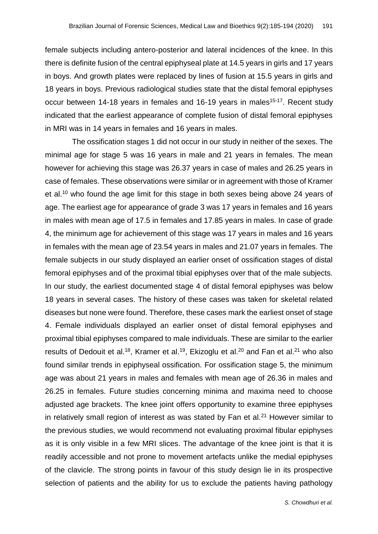female subjects including antero-posterior and lateral incidences of the knee. In this there is definite fusion of the central epiphyseal plate at 14.5 years in girls and 17 years in boys. And growth plates were replaced by lines of fusion at 15.5 years in girls and 18 years in boys. Previous radiological studies state that the distal femoral epiphyses occur between 14-18 years in females and 16-19 years in males<sup>15-17</sup>. Recent study indicated that the earliest appearance of complete fusion of distal femoral epiphyses in MRI was in 14 years in females and 16 years in males.

The ossification stages 1 did not occur in our study in neither of the sexes. The minimal age for stage 5 was 16 years in male and 21 years in females. The mean however for achieving this stage was 26.37 years in case of males and 26.25 years in case of females. These observations were similar or in agreement with those of Kramer et al.<sup>10</sup> who found the age limit for this stage in both sexes being above 24 years of age. The earliest age for appearance of grade 3 was 17 years in females and 16 years in males with mean age of 17.5 in females and 17.85 years in males. In case of grade 4, the minimum age for achievement of this stage was 17 years in males and 16 years in females with the mean age of 23.54 years in males and 21.07 years in females. The female subjects in our study displayed an earlier onset of ossification stages of distal femoral epiphyses and of the proximal tibial epiphyses over that of the male subjects. In our study, the earliest documented stage 4 of distal femoral epiphyses was below 18 years in several cases. The history of these cases was taken for skeletal related diseases but none were found. Therefore, these cases mark the earliest onset of stage 4. Female individuals displayed an earlier onset of distal femoral epiphyses and proximal tibial epiphyses compared to male individuals. These are similar to the earlier results of Dedouit et al.<sup>18</sup>, Kramer et al.<sup>19</sup>, Ekizoglu et al.<sup>20</sup> and Fan et al.<sup>21</sup> who also found similar trends in epiphyseal ossification. For ossification stage 5, the minimum age was about 21 years in males and females with mean age of 26.36 in males and 26.25 in females. Future studies concerning minima and maxima need to choose adjusted age brackets. The knee joint offers opportunity to examine three epiphyses in relatively small region of interest as was stated by Fan et al. $21$  However similar to the previous studies, we would recommend not evaluating proximal fibular epiphyses as it is only visible in a few MRI slices. The advantage of the knee joint is that it is readily accessible and not prone to movement artefacts unlike the medial epiphyses of the clavicle. The strong points in favour of this study design lie in its prospective selection of patients and the ability for us to exclude the patients having pathology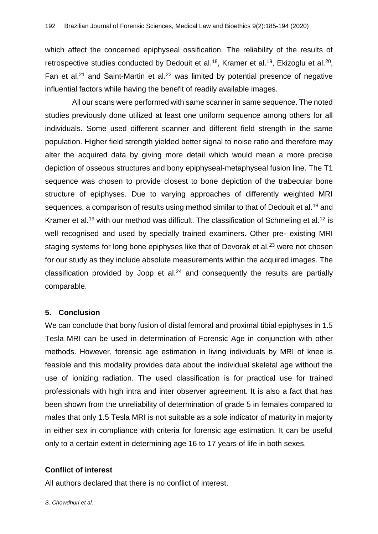which affect the concerned epiphyseal ossification. The reliability of the results of retrospective studies conducted by Dedouit et al.<sup>18</sup>, Kramer et al.<sup>19</sup>, Ekizoglu et al.<sup>20</sup>, Fan et al. $21$  and Saint-Martin et al. $22$  was limited by potential presence of negative influential factors while having the benefit of readily available images.

All our scans were performed with same scanner in same sequence. The noted studies previously done utilized at least one uniform sequence among others for all individuals. Some used different scanner and different field strength in the same population. Higher field strength yielded better signal to noise ratio and therefore may alter the acquired data by giving more detail which would mean a more precise depiction of osseous structures and bony epiphyseal-metaphyseal fusion line. The T1 sequence was chosen to provide closest to bone depiction of the trabecular bone structure of epiphyses. Due to varying approaches of differently weighted MRI sequences, a comparison of results using method similar to that of Dedouit et al.<sup>18</sup> and Kramer et al.<sup>19</sup> with our method was difficult. The classification of Schmeling et al.<sup>12</sup> is well recognised and used by specially trained examiners. Other pre- existing MRI staging systems for long bone epiphyses like that of Devorak et al.<sup>23</sup> were not chosen for our study as they include absolute measurements within the acquired images. The classification provided by Jopp et al. $24$  and consequently the results are partially comparable.

## **5. Conclusion**

We can conclude that bony fusion of distal femoral and proximal tibial epiphyses in 1.5 Tesla MRI can be used in determination of Forensic Age in conjunction with other methods. However, forensic age estimation in living individuals by MRI of knee is feasible and this modality provides data about the individual skeletal age without the use of ionizing radiation. The used classification is for practical use for trained professionals with high intra and inter observer agreement. It is also a fact that has been shown from the unreliability of determination of grade 5 in females compared to males that only 1.5 Tesla MRI is not suitable as a sole indicator of maturity in majority in either sex in compliance with criteria for forensic age estimation. It can be useful only to a certain extent in determining age 16 to 17 years of life in both sexes.

## **Conflict of interest**

All authors declared that there is no conflict of interest.

*S. Chowdhuri et al.*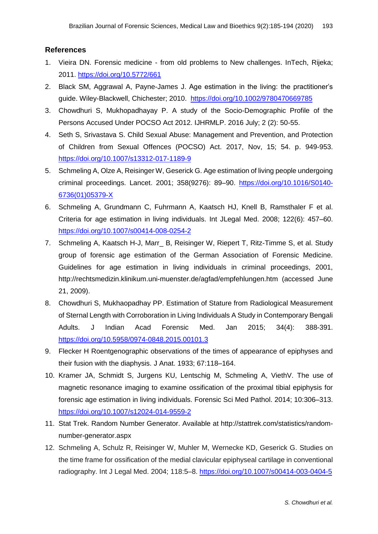## **References**

- 1. Vieira DN. Forensic medicine from old problems to New challenges. InTech, Rijeka; 2011. <https://doi.org/10.5772/661>
- 2. Black SM, Aggrawal A, Payne-James J. Age estimation in the living: the practitioner's guide. Wiley-Blackwell, Chichester; 2010. <https://doi.org/10.1002/9780470669785>
- 3. Chowdhuri S, Mukhopadhayay P. A study of the Socio-Demographic Profile of the Persons Accused Under POCSO Act 2012. IJHRMLP. 2016 July; 2 (2): 50-55.
- 4. Seth S, Srivastava S. Child Sexual Abuse: Management and Prevention, and Protection of Children from Sexual Offences (POCSO) Act. 2017, Nov, 15; 54. p. 949-953. <https://doi.org/10.1007/s13312-017-1189-9>
- 5. Schmeling A, Olze A, Reisinger W, Geserick G. Age estimation of living people undergoing criminal proceedings. Lancet. 2001; 358(9276): 89–90. [https://doi.org/10.1016/S0140-](https://doi.org/10.1016/S0140-6736(01)05379-X) [6736\(01\)05379-X](https://doi.org/10.1016/S0140-6736(01)05379-X)
- 6. Schmeling A, Grundmann C, Fuhrmann A, Kaatsch HJ, Knell B, Ramsthaler F et al. Criteria for age estimation in living individuals. Int JLegal Med. 2008; 122(6): 457–60. <https://doi.org/10.1007/s00414-008-0254-2>
- 7. Schmeling A, Kaatsch H-J, Marr\_ B, Reisinger W, Riepert T, Ritz-Timme S, et al. Study group of forensic age estimation of the German Association of Forensic Medicine. Guidelines for age estimation in living individuals in criminal proceedings, 2001, [http://rechtsmedizin.klinikum.](http://rechtsmedizin.klinikum/)uni-muenster.de/agfad/empfehlungen.htm (accessed June 21, 2009).
- 8. Chowdhuri S, Mukhaopadhay PP. Estimation of Stature from Radiological Measurement of Sternal Length with Corroboration in Living Individuals A Study in Contemporary Bengali Adults. J Indian Acad Forensic Med. Jan 2015; 34(4): 388-391. <https://doi.org/10.5958/0974-0848.2015.00101.3>
- 9. Flecker H Roentgenographic observations of the times of appearance of epiphyses and their fusion with the diaphysis. J Anat. 1933; 67:118–164.
- 10. Kramer JA, Schmidt S, Jurgens KU, Lentschig M, Schmeling A, ViethV. The use of magnetic resonance imaging to examine ossification of the proximal tibial epiphysis for forensic age estimation in living individuals. Forensic Sci Med Pathol. 2014; 10:306–313. <https://doi.org/10.1007/s12024-014-9559-2>
- 11. Stat Trek. Random Number Generator. Available at [http://stattrek.com/statistics/random](http://stattrek.com/statistics/random-number-generator.aspx)[number-generator.aspx](http://stattrek.com/statistics/random-number-generator.aspx)
- 12. Schmeling A, Schulz R, Reisinger W, Muhler M, Wernecke KD, Geserick G. Studies on the time frame for ossification of the medial clavicular epiphyseal cartilage in conventional radiography. Int J Legal Med. 2004; 118:5–8. <https://doi.org/10.1007/s00414-003-0404-5>